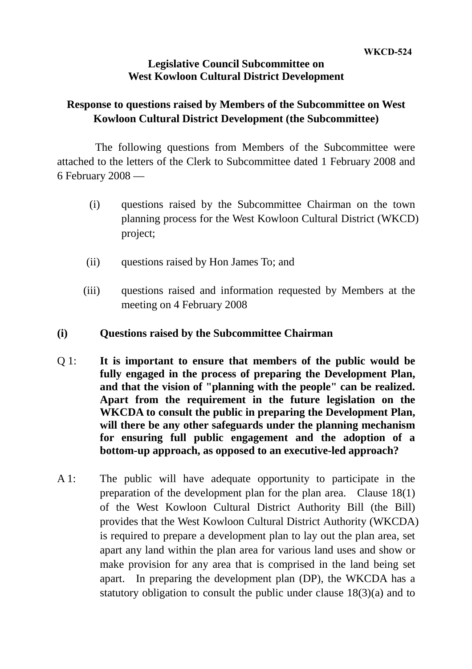## **Legislative Council Subcommittee on West Kowloon Cultural District Development**

## **Response to questions raised by Members of the Subcommittee on West Kowloon Cultural District Development (the Subcommittee)**

The following questions from Members of the Subcommittee were attached to the letters of the Clerk to Subcommittee dated 1 February 2008 and 6 February 2008 —

- (i) questions raised by the Subcommittee Chairman on the town planning process for the West Kowloon Cultural District (WKCD) project;
- (ii) questions raised by Hon James To; and
- (iii) questions raised and information requested by Members at the meeting on 4 February 2008
- **(i) Questions raised by the Subcommittee Chairman**
- Q 1: **It is important to ensure that members of the public would be fully engaged in the process of preparing the Development Plan, and that the vision of "planning with the people" can be realized. Apart from the requirement in the future legislation on the WKCDA to consult the public in preparing the Development Plan, will there be any other safeguards under the planning mechanism for ensuring full public engagement and the adoption of a bottom-up approach, as opposed to an executive-led approach?**
- A 1: The public will have adequate opportunity to participate in the preparation of the development plan for the plan area. Clause 18(1) of the West Kowloon Cultural District Authority Bill (the Bill) provides that the West Kowloon Cultural District Authority (WKCDA) is required to prepare a development plan to lay out the plan area, set apart any land within the plan area for various land uses and show or make provision for any area that is comprised in the land being set apart. In preparing the development plan (DP), the WKCDA has a statutory obligation to consult the public under clause 18(3)(a) and to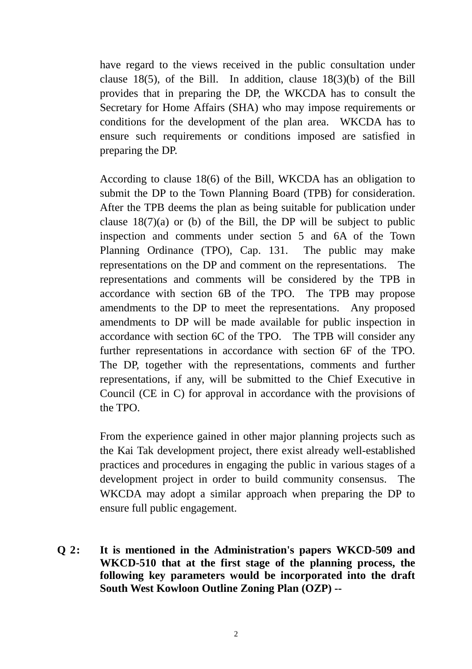have regard to the views received in the public consultation under clause 18(5), of the Bill. In addition, clause 18(3)(b) of the Bill provides that in preparing the DP, the WKCDA has to consult the Secretary for Home Affairs (SHA) who may impose requirements or conditions for the development of the plan area. WKCDA has to ensure such requirements or conditions imposed are satisfied in preparing the DP.

According to clause 18(6) of the Bill, WKCDA has an obligation to submit the DP to the Town Planning Board (TPB) for consideration. After the TPB deems the plan as being suitable for publication under clause  $18(7)(a)$  or (b) of the Bill, the DP will be subject to public inspection and comments under section 5 and 6A of the Town Planning Ordinance (TPO), Cap. 131. The public may make representations on the DP and comment on the representations. The representations and comments will be considered by the TPB in accordance with section 6B of the TPO. The TPB may propose amendments to the DP to meet the representations. Any proposed amendments to DP will be made available for public inspection in accordance with section 6C of the TPO. The TPB will consider any further representations in accordance with section 6F of the TPO. The DP, together with the representations, comments and further representations, if any, will be submitted to the Chief Executive in Council (CE in C) for approval in accordance with the provisions of the TPO.

From the experience gained in other major planning projects such as the Kai Tak development project, there exist already well-established practices and procedures in engaging the public in various stages of a development project in order to build community consensus. The WKCDA may adopt a similar approach when preparing the DP to ensure full public engagement.

**Q 2: It is mentioned in the Administration's papers WKCD-509 and WKCD-510 that at the first stage of the planning process, the following key parameters would be incorporated into the draft South West Kowloon Outline Zoning Plan (OZP) --**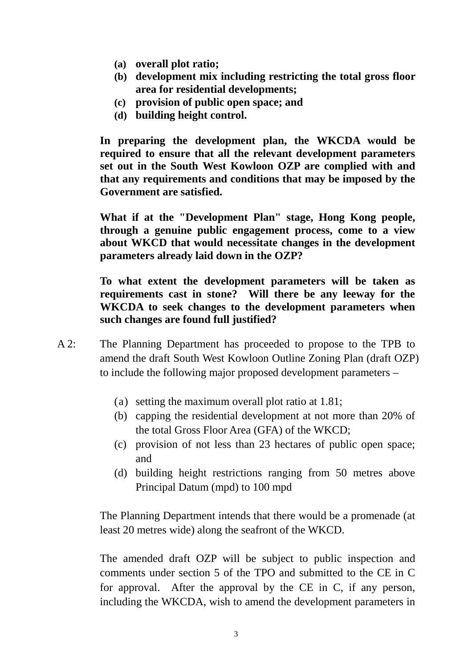- **(a) overall plot ratio;**
- **(b) development mix including restricting the total gross floor area for residential developments;**
- **(c) provision of public open space; and**
- **(d) building height control.**

**In preparing the development plan, the WKCDA would be required to ensure that all the relevant development parameters set out in the South West Kowloon OZP are complied with and that any requirements and conditions that may be imposed by the Government are satisfied.** 

**What if at the "Development Plan" stage, Hong Kong people, through a genuine public engagement process, come to a view about WKCD that would necessitate changes in the development parameters already laid down in the OZP?** 

**To what extent the development parameters will be taken as requirements cast in stone? Will there be any leeway for the WKCDA to seek changes to the development parameters when such changes are found full justified?**

- A 2: The Planning Department has proceeded to propose to the TPB to amend the draft South West Kowloon Outline Zoning Plan (draft OZP) to include the following major proposed development parameters –
	- (a) setting the maximum overall plot ratio at 1.81;
	- (b) capping the residential development at not more than 20% of the total Gross Floor Area (GFA) of the WKCD;
	- (c) provision of not less than 23 hectares of public open space; and
	- (d) building height restrictions ranging from 50 metres above Principal Datum (mpd) to 100 mpd

The Planning Department intends that there would be a promenade (at least 20 metres wide) along the seafront of the WKCD.

The amended draft OZP will be subject to public inspection and comments under section 5 of the TPO and submitted to the CE in C for approval. After the approval by the CE in C, if any person, including the WKCDA, wish to amend the development parameters in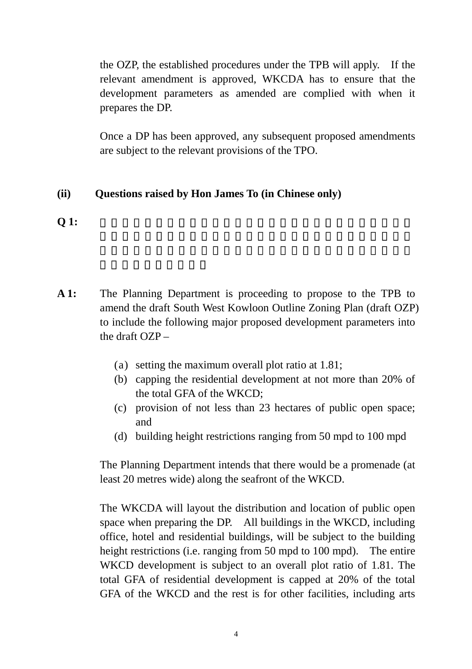the OZP, the established procedures under the TPB will apply. If the relevant amendment is approved, WKCDA has to ensure that the development parameters as amended are complied with when it prepares the DP.

Once a DP has been approved, any subsequent proposed amendments are subject to the relevant provisions of the TPO.

## **(ii) Questions raised by Hon James To (in Chinese only)**

- **Q** 1:
- **A 1:** The Planning Department is proceeding to propose to the TPB to amend the draft South West Kowloon Outline Zoning Plan (draft OZP) to include the following major proposed development parameters into the draft OZP –
	- (a) setting the maximum overall plot ratio at 1.81;
	- (b) capping the residential development at not more than 20% of the total GFA of the WKCD;
	- (c) provision of not less than 23 hectares of public open space; and
	- (d) building height restrictions ranging from 50 mpd to 100 mpd

The Planning Department intends that there would be a promenade (at least 20 metres wide) along the seafront of the WKCD.

The WKCDA will layout the distribution and location of public open space when preparing the DP. All buildings in the WKCD, including office, hotel and residential buildings, will be subject to the building height restrictions (i.e. ranging from 50 mpd to 100 mpd). The entire WKCD development is subject to an overall plot ratio of 1.81. The total GFA of residential development is capped at 20% of the total GFA of the WKCD and the rest is for other facilities, including arts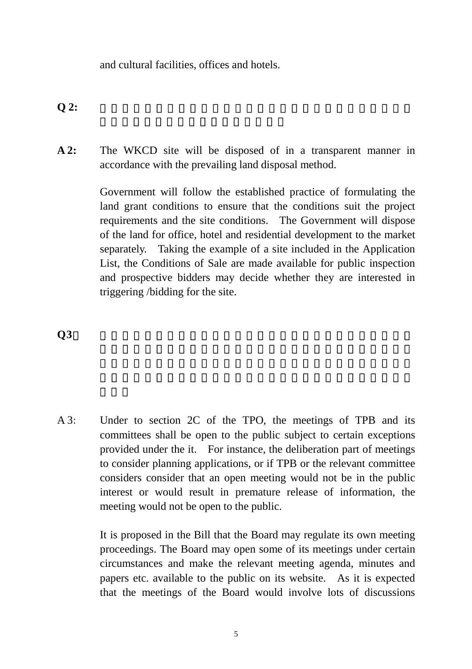and cultural facilities, offices and hotels.

 $Q2:$ 

**A 2:** The WKCD site will be disposed of in a transparent manner in accordance with the prevailing land disposal method.

> Government will follow the established practice of formulating the land grant conditions to ensure that the conditions suit the project requirements and the site conditions. The Government will dispose of the land for office, hotel and residential development to the market separately. Taking the example of a site included in the Application List, the Conditions of Sale are made available for public inspection and prospective bidders may decide whether they are interested in triggering /bidding for the site.

 $\overline{Q}3$ 

A 3: Under to section 2C of the TPO, the meetings of TPB and its committees shall be open to the public subject to certain exceptions provided under the it. For instance, the deliberation part of meetings to consider planning applications, or if TPB or the relevant committee considers consider that an open meeting would not be in the public interest or would result in premature release of information, the meeting would not be open to the public.

> It is proposed in the Bill that the Board may regulate its own meeting proceedings. The Board may open some of its meetings under certain circumstances and make the relevant meeting agenda, minutes and papers etc. available to the public on its website. As it is expected that the meetings of the Board would involve lots of discussions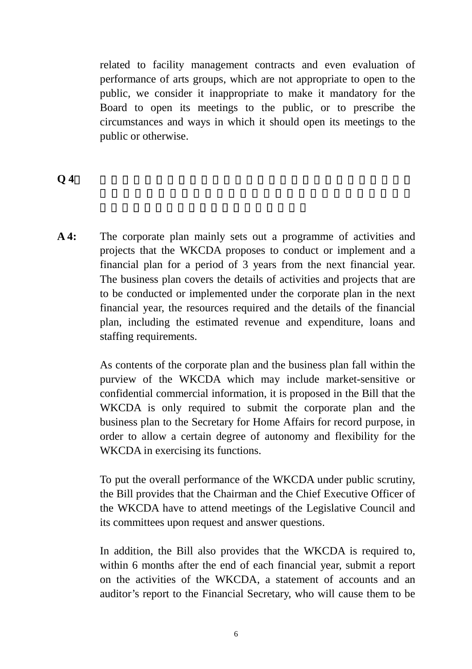related to facility management contracts and even evaluation of performance of arts groups, which are not appropriate to open to the public, we consider it inappropriate to make it mandatory for the Board to open its meetings to the public, or to prescribe the circumstances and ways in which it should open its meetings to the public or otherwise.

## $Q$  4 $\;$

**A 4:** The corporate plan mainly sets out a programme of activities and projects that the WKCDA proposes to conduct or implement and a financial plan for a period of 3 years from the next financial year. The business plan covers the details of activities and projects that are to be conducted or implemented under the corporate plan in the next financial year, the resources required and the details of the financial plan, including the estimated revenue and expenditure, loans and staffing requirements.

> As contents of the corporate plan and the business plan fall within the purview of the WKCDA which may include market-sensitive or confidential commercial information, it is proposed in the Bill that the WKCDA is only required to submit the corporate plan and the business plan to the Secretary for Home Affairs for record purpose, in order to allow a certain degree of autonomy and flexibility for the WKCDA in exercising its functions.

> To put the overall performance of the WKCDA under public scrutiny, the Bill provides that the Chairman and the Chief Executive Officer of the WKCDA have to attend meetings of the Legislative Council and its committees upon request and answer questions.

> In addition, the Bill also provides that the WKCDA is required to, within 6 months after the end of each financial year, submit a report on the activities of the WKCDA, a statement of accounts and an auditor's report to the Financial Secretary, who will cause them to be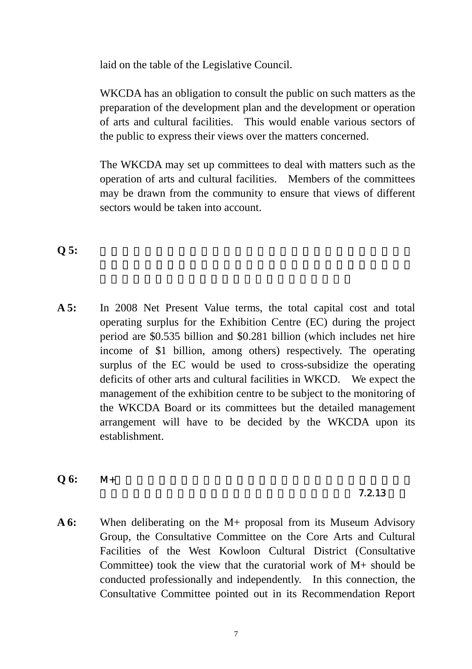laid on the table of the Legislative Council.

WKCDA has an obligation to consult the public on such matters as the preparation of the development plan and the development or operation of arts and cultural facilities. This would enable various sectors of the public to express their views over the matters concerned.

The WKCDA may set up committees to deal with matters such as the operation of arts and cultural facilities. Members of the committees may be drawn from the community to ensure that views of different sectors would be taken into account.

 $Q 5:$ 

**A 5:** In 2008 Net Present Value terms, the total capital cost and total operating surplus for the Exhibition Centre (EC) during the project period are \$0.535 billion and \$0.281 billion (which includes net hire income of \$1 billion, among others) respectively. The operating surplus of the EC would be used to cross-subsidize the operating deficits of other arts and cultural facilities in WKCD. We expect the management of the exhibition centre to be subject to the monitoring of the WKCDA Board or its committees but the detailed management arrangement will have to be decided by the WKCDA upon its establishment.

**Q 6:** M+的營運和管理如不受西九管理局控制,日後其營運和管理由誰

## $7.2.13$

**A 6:** When deliberating on the M+ proposal from its Museum Advisory Group, the Consultative Committee on the Core Arts and Cultural Facilities of the West Kowloon Cultural District (Consultative Committee) took the view that the curatorial work of M+ should be conducted professionally and independently. In this connection, the Consultative Committee pointed out in its Recommendation Report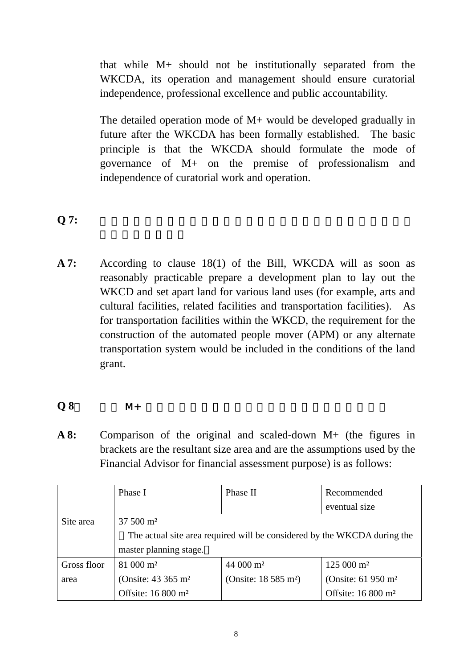that while M+ should not be institutionally separated from the WKCDA, its operation and management should ensure curatorial independence, professional excellence and public accountability.

The detailed operation mode of M+ would be developed gradually in future after the WKCDA has been formally established. The basic principle is that the WKCDA should formulate the mode of governance of M+ on the premise of professionalism and independence of curatorial work and operation.

## $\bf{Q}$  7:

**A 7:** According to clause 18(1) of the Bill, WKCDA will as soon as reasonably practicable prepare a development plan to lay out the WKCD and set apart land for various land uses (for example, arts and cultural facilities, related facilities and transportation facilities). As for transportation facilities within the WKCD, the requirement for the construction of the automated people mover (APM) or any alternate transportation system would be included in the conditions of the land grant.

## **Q 8**: 對 比 M+ 原 先 及 縮 減 建 議 的 規 模 ( 括 號 內 為 縮 減 後 的 面 積 )

**A 8:** Comparison of the original and scaled-down M+ (the figures in brackets are the resultant size area and are the assumptions used by the Financial Advisor for financial assessment purpose) is as follows:

|             | Phase I                                                                  | Phase II                         | Recommended                      |  |  |  |
|-------------|--------------------------------------------------------------------------|----------------------------------|----------------------------------|--|--|--|
|             |                                                                          |                                  | eventual size                    |  |  |  |
| Site area   | $37,500 \text{ m}^2$                                                     |                                  |                                  |  |  |  |
|             | The actual site area required will be considered by the WKCDA during the |                                  |                                  |  |  |  |
|             | master planning stage.                                                   |                                  |                                  |  |  |  |
| Gross floor | 81 000 m <sup>2</sup>                                                    | $44000 \text{ m}^2$              | $125000 \text{ m}^2$             |  |  |  |
| area        | (Onsite: $43,365 \text{ m}^2$ )                                          | (Onsite: 18 585 m <sup>2</sup> ) | (Onsite: $61\,950\,\mathrm{m}^2$ |  |  |  |
|             | Offsite: 16 800 m <sup>2</sup>                                           |                                  | Offsite: 16 800 m <sup>2</sup>   |  |  |  |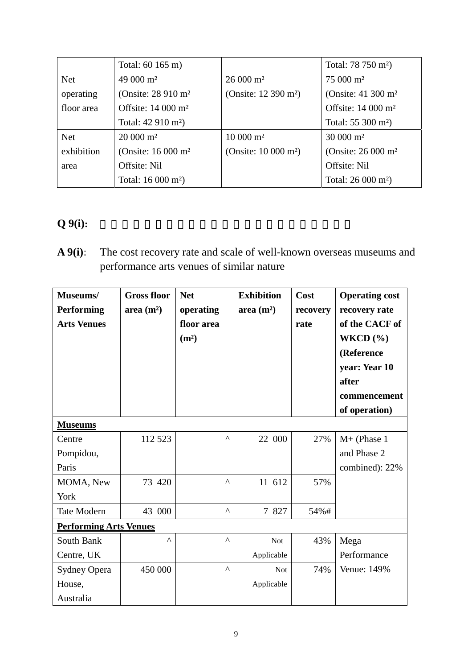|            | Total: 60 165 m)               |                                    | Total: 78 750 m <sup>2</sup> )   |
|------------|--------------------------------|------------------------------------|----------------------------------|
| <b>Net</b> | 49 000 m <sup>2</sup>          | $26000 \text{ m}^2$                | 75 000 m <sup>2</sup>            |
| operating  | (Onsite: 28 910 m <sup>2</sup> | (Onsite: 12 390 m <sup>2</sup> )   | (Onsite: $41\,300\,\mathrm{m}^2$ |
| floor area | Offsite: $14000 \text{ m}^2$   |                                    | Offsite: 14 000 m <sup>2</sup>   |
|            | Total: 42 910 m <sup>2</sup> ) |                                    | Total: $55\,300\,\mathrm{m}^2$ ) |
| <b>Net</b> | $20000 \text{ m}^2$            | $10000 \text{ m}^2$                | $30000 \text{ m}^2$              |
| exhibition | (Onsite: 16 000 m <sup>2</sup> | (Onsite: $10\,000\,\mathrm{m}^2$ ) | (Onsite: 26 000 m <sup>2</sup>   |
| area       | Offsite: Nil                   |                                    | Offsite: Nil                     |
|            | Total: 16 000 m <sup>2</sup> ) |                                    | Total: $26000 \text{ m}^2$ )     |

# **Q** 9(i):

**A 9(i)**: The cost recovery rate and scale of well-known overseas museums and performance arts venues of similar nature

| Museums/<br><b>Performing</b><br><b>Arts Venues</b> | <b>Gross floor</b><br>area $(m^2)$ | <b>Net</b><br>operating<br>floor area<br>(m <sup>2</sup> ) | <b>Exhibition</b><br>area $(m^2)$ | Cost<br>recovery<br>rate | <b>Operating cost</b><br>recovery rate<br>of the CACF of<br>WKCD $(\% )$<br>(Reference<br>year: Year 10<br>after<br>commencement<br>of operation) |
|-----------------------------------------------------|------------------------------------|------------------------------------------------------------|-----------------------------------|--------------------------|---------------------------------------------------------------------------------------------------------------------------------------------------|
| <b>Museums</b>                                      |                                    |                                                            |                                   |                          |                                                                                                                                                   |
| Centre<br>Pompidou,<br>Paris                        | 112 523                            | Λ                                                          | 22 000                            | 27%                      | $M+$ (Phase 1<br>and Phase 2<br>combined): 22%                                                                                                    |
| MOMA, New<br>York                                   | 73 420                             | Λ                                                          | 11 612                            | 57%                      |                                                                                                                                                   |
| <b>Tate Modern</b>                                  | 43 000                             | Λ                                                          | 7 827                             | 54%#                     |                                                                                                                                                   |
| <b>Performing Arts Venues</b>                       |                                    |                                                            |                                   |                          |                                                                                                                                                   |
| South Bank<br>Centre, UK                            | Λ                                  | Λ                                                          | <b>Not</b><br>Applicable          | 43%                      | Mega<br>Performance                                                                                                                               |
| <b>Sydney Opera</b><br>House,<br>Australia          | 450 000                            | Λ                                                          | <b>Not</b><br>Applicable          | 74%                      | Venue: 149%                                                                                                                                       |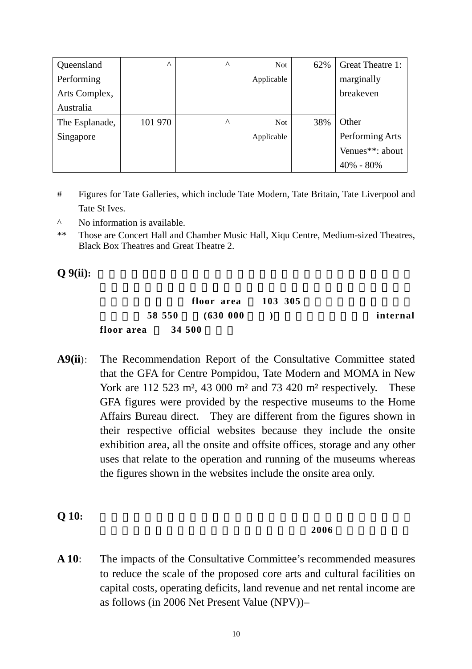| Queensland     | Λ       | $\wedge$ | <b>Not</b> | 62% | Great Theatre 1: |
|----------------|---------|----------|------------|-----|------------------|
| Performing     |         |          | Applicable |     | marginally       |
| Arts Complex,  |         |          |            |     | breakeven        |
| Australia      |         |          |            |     |                  |
| The Esplanade, | 101 970 | $\wedge$ | <b>Not</b> | 38% | Other            |
| Singapore      |         |          | Applicable |     | Performing Arts  |
|                |         |          |            |     | Venues**: about  |
|                |         |          |            |     | $40\% - 80\%$    |

- # Figures for Tate Galleries, which include Tate Modern, Tate Britain, Tate Liverpool and Tate St Ives.
- ^ No information is available.
- \*\* Those are Concert Hall and Chamber Music Hall, Xiqu Centre, Medium-sized Theatres, Black Box Theatres and Great Theatre 2.

**Q** 9(ii):

|            | floor area       | 103 305 |          |
|------------|------------------|---------|----------|
|            | 58 550 (630 000) |         | internal |
| floor area | 34 500           |         |          |

**A9(ii**): The Recommendation Report of the Consultative Committee stated that the GFA for Centre Pompidou, Tate Modern and MOMA in New York are 112 523 m<sup>2</sup>, 43 000 m<sup>2</sup> and 73 420 m<sup>2</sup> respectively. These GFA figures were provided by the respective museums to the Home Affairs Bureau direct. They are different from the figures shown in their respective official websites because they include the onsite exhibition area, all the onsite and offsite offices, storage and any other uses that relate to the operation and running of the museums whereas the figures shown in the websites include the onsite area only.

**Q 10:** 諮詢委員會建議縮減原先規模,縮減建議對各項目的建設成本、

#### $2006$

**A 10**: The impacts of the Consultative Committee's recommended measures to reduce the scale of the proposed core arts and cultural facilities on capital costs, operating deficits, land revenue and net rental income are as follows (in 2006 Net Present Value (NPV))–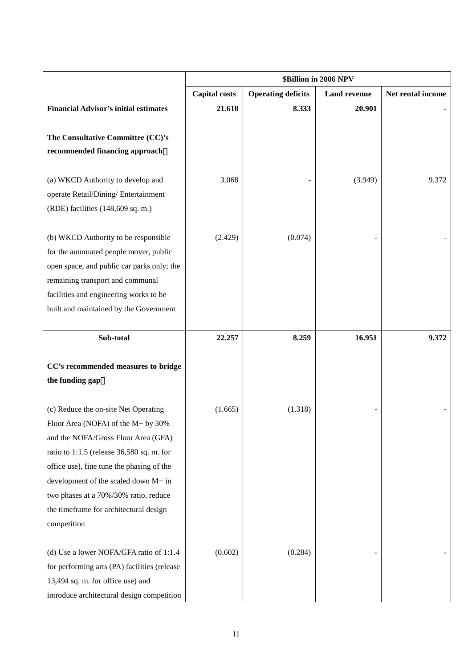|                                              | \$Billion in 2006 NPV                                                    |         |         |                   |
|----------------------------------------------|--------------------------------------------------------------------------|---------|---------|-------------------|
|                                              | <b>Capital costs</b><br><b>Operating deficits</b><br><b>Land revenue</b> |         |         | Net rental income |
| <b>Financial Advisor's initial estimates</b> | 21.618                                                                   | 8.333   | 20.901  |                   |
|                                              |                                                                          |         |         |                   |
| The Consultative Committee (CC)'s            |                                                                          |         |         |                   |
| recommended financing approach               |                                                                          |         |         |                   |
|                                              |                                                                          |         |         |                   |
| (a) WKCD Authority to develop and            | 3.068                                                                    |         | (3.949) | 9.372             |
| operate Retail/Dining/ Entertainment         |                                                                          |         |         |                   |
| (RDE) facilities (148,609 sq. m.)            |                                                                          |         |         |                   |
| (b) WKCD Authority to be responsible         | (2.429)                                                                  | (0.074) |         |                   |
| for the automated people mover, public       |                                                                          |         |         |                   |
| open space, and public car parks only; the   |                                                                          |         |         |                   |
| remaining transport and communal             |                                                                          |         |         |                   |
| facilities and engineering works to be       |                                                                          |         |         |                   |
| built and maintained by the Government       |                                                                          |         |         |                   |
|                                              |                                                                          |         |         |                   |
| Sub-total                                    | 22.257                                                                   | 8.259   | 16.951  | 9.372             |
|                                              |                                                                          |         |         |                   |
| CC's recommended measures to bridge          |                                                                          |         |         |                   |
| the funding gap                              |                                                                          |         |         |                   |
|                                              |                                                                          |         |         |                   |
| (c) Reduce the on-site Net Operating         | (1.665)                                                                  | (1.318) |         |                   |
| Floor Area (NOFA) of the $M+$ by 30%         |                                                                          |         |         |                   |
| and the NOFA/Gross Floor Area (GFA)          |                                                                          |         |         |                   |
| ratio to 1:1.5 (release 36,580 sq. m. for    |                                                                          |         |         |                   |
| office use), fine tune the phasing of the    |                                                                          |         |         |                   |
| development of the scaled down M+ in         |                                                                          |         |         |                   |
| two phases at a 70%/30% ratio, reduce        |                                                                          |         |         |                   |
| the timeframe for architectural design       |                                                                          |         |         |                   |
| competition                                  |                                                                          |         |         |                   |
| (d) Use a lower NOFA/GFA ratio of 1:1.4      | (0.602)                                                                  | (0.284) |         |                   |
| for performing arts (PA) facilities (release |                                                                          |         |         |                   |
| 13,494 sq. m. for office use) and            |                                                                          |         |         |                   |
| introduce architectural design competition   |                                                                          |         |         |                   |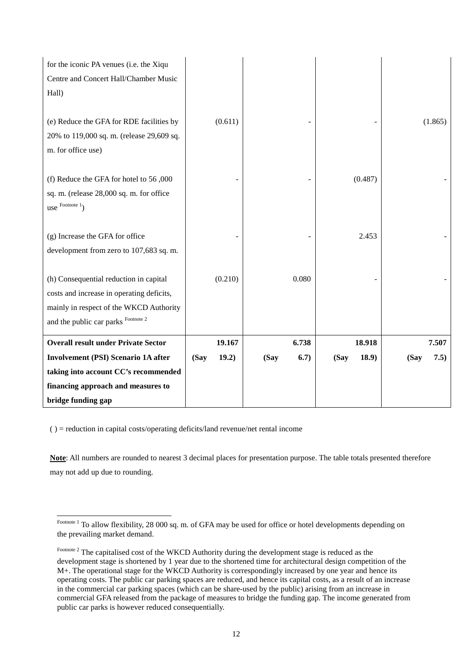| for the iconic PA venues (i.e. the Xiqu    |               |              |               |              |
|--------------------------------------------|---------------|--------------|---------------|--------------|
| Centre and Concert Hall/Chamber Music      |               |              |               |              |
| Hall)                                      |               |              |               |              |
|                                            |               |              |               |              |
| (e) Reduce the GFA for RDE facilities by   | (0.611)       |              |               | (1.865)      |
| 20% to 119,000 sq. m. (release 29,609 sq.  |               |              |               |              |
| m. for office use)                         |               |              |               |              |
|                                            |               |              |               |              |
| (f) Reduce the GFA for hotel to 56,000     |               |              | (0.487)       |              |
| sq. m. (release 28,000 sq. m. for office   |               |              |               |              |
| use $F_{\text{ootnote}}$ <sup>1</sup> )    |               |              |               |              |
|                                            |               |              |               |              |
| (g) Increase the GFA for office            |               |              | 2.453         |              |
| development from zero to 107,683 sq. m.    |               |              |               |              |
|                                            |               |              |               |              |
| (h) Consequential reduction in capital     | (0.210)       | 0.080        |               |              |
| costs and increase in operating deficits,  |               |              |               |              |
| mainly in respect of the WKCD Authority    |               |              |               |              |
| and the public car parks Footnote 2        |               |              |               |              |
| <b>Overall result under Private Sector</b> | 19.167        | 6.738        | 18.918        | 7.507        |
| <b>Involvement (PSI) Scenario 1A after</b> | 19.2)<br>(Say | (Say<br>6.7) | 18.9)<br>(Say | 7.5)<br>(Say |
| taking into account CC's recommended       |               |              |               |              |
| financing approach and measures to         |               |              |               |              |
| bridge funding gap                         |               |              |               |              |
|                                            |               |              |               |              |

( ) = reduction in capital costs/operating deficits/land revenue/net rental income

 $\overline{a}$ 

**Note**: All numbers are rounded to nearest 3 decimal places for presentation purpose. The table totals presented therefore may not add up due to rounding.

Footnote <sup>1</sup> To allow flexibility, 28 000 sq. m. of GFA may be used for office or hotel developments depending on the prevailing market demand.

Footnote 2 The capitalised cost of the WKCD Authority during the development stage is reduced as the development stage is shortened by 1 year due to the shortened time for architectural design competition of the M+. The operational stage for the WKCD Authority is correspondingly increased by one year and hence its operating costs. The public car parking spaces are reduced, and hence its capital costs, as a result of an increase in the commercial car parking spaces (which can be share-used by the public) arising from an increase in commercial GFA released from the package of measures to bridge the funding gap. The income generated from public car parks is however reduced consequentially.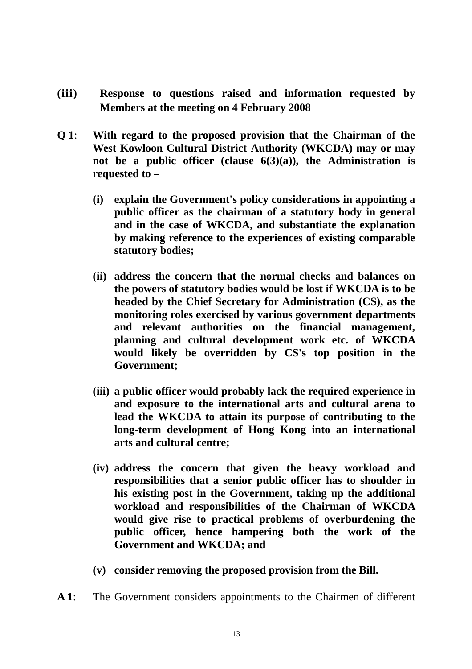- **(iii) Response to questions raised and information requested by Members at the meeting on 4 February 2008**
- **Q 1**: **With regard to the proposed provision that the Chairman of the West Kowloon Cultural District Authority (WKCDA) may or may not be a public officer (clause 6(3)(a)), the Administration is requested to –** 
	- **(i) explain the Government's policy considerations in appointing a public officer as the chairman of a statutory body in general and in the case of WKCDA, and substantiate the explanation by making reference to the experiences of existing comparable statutory bodies;**
	- **(ii) address the concern that the normal checks and balances on the powers of statutory bodies would be lost if WKCDA is to be headed by the Chief Secretary for Administration (CS), as the monitoring roles exercised by various government departments and relevant authorities on the financial management, planning and cultural development work etc. of WKCDA would likely be overridden by CS's top position in the Government;**
	- **(iii) a public officer would probably lack the required experience in and exposure to the international arts and cultural arena to lead the WKCDA to attain its purpose of contributing to the long-term development of Hong Kong into an international arts and cultural centre;**
	- **(iv) address the concern that given the heavy workload and responsibilities that a senior public officer has to shoulder in his existing post in the Government, taking up the additional workload and responsibilities of the Chairman of WKCDA would give rise to practical problems of overburdening the public officer, hence hampering both the work of the Government and WKCDA; and**
	- **(v) consider removing the proposed provision from the Bill.**
- **A 1**: The Government considers appointments to the Chairmen of different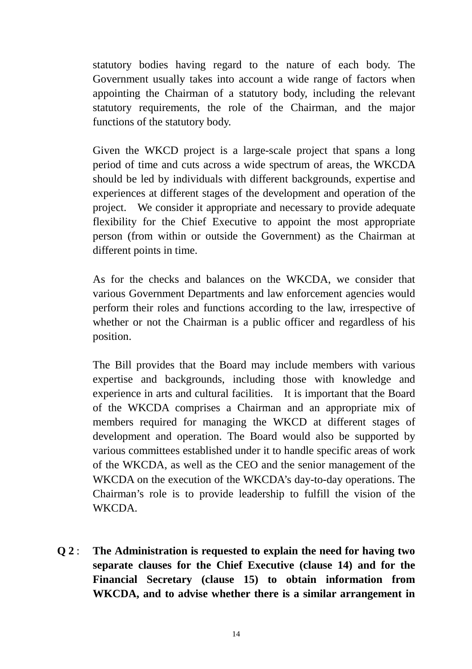statutory bodies having regard to the nature of each body. The Government usually takes into account a wide range of factors when appointing the Chairman of a statutory body, including the relevant statutory requirements, the role of the Chairman, and the major functions of the statutory body.

Given the WKCD project is a large-scale project that spans a long period of time and cuts across a wide spectrum of areas, the WKCDA should be led by individuals with different backgrounds, expertise and experiences at different stages of the development and operation of the project. We consider it appropriate and necessary to provide adequate flexibility for the Chief Executive to appoint the most appropriate person (from within or outside the Government) as the Chairman at different points in time.

As for the checks and balances on the WKCDA, we consider that various Government Departments and law enforcement agencies would perform their roles and functions according to the law, irrespective of whether or not the Chairman is a public officer and regardless of his position.

The Bill provides that the Board may include members with various expertise and backgrounds, including those with knowledge and experience in arts and cultural facilities. It is important that the Board of the WKCDA comprises a Chairman and an appropriate mix of members required for managing the WKCD at different stages of development and operation. The Board would also be supported by various committees established under it to handle specific areas of work of the WKCDA, as well as the CEO and the senior management of the WKCDA on the execution of the WKCDA's day-to-day operations. The Chairman's role is to provide leadership to fulfill the vision of the WKCDA.

**Q 2** : **The Administration is requested to explain the need for having two separate clauses for the Chief Executive (clause 14) and for the Financial Secretary (clause 15) to obtain information from WKCDA, and to advise whether there is a similar arrangement in**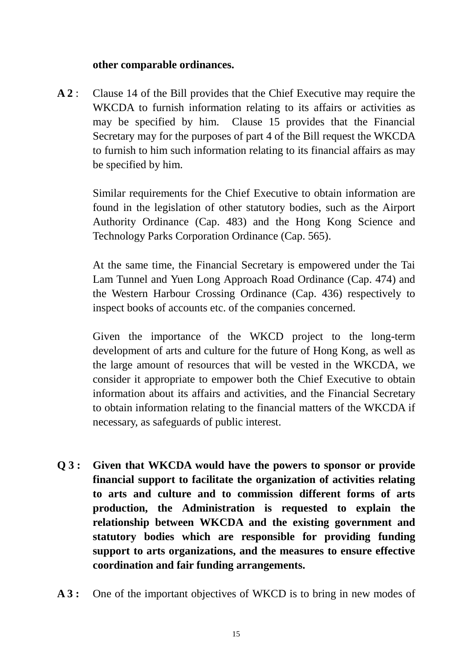## **other comparable ordinances.**

**A 2** : Clause 14 of the Bill provides that the Chief Executive may require the WKCDA to furnish information relating to its affairs or activities as may be specified by him. Clause 15 provides that the Financial Secretary may for the purposes of part 4 of the Bill request the WKCDA to furnish to him such information relating to its financial affairs as may be specified by him.

 Similar requirements for the Chief Executive to obtain information are found in the legislation of other statutory bodies, such as the Airport Authority Ordinance (Cap. 483) and the Hong Kong Science and Technology Parks Corporation Ordinance (Cap. 565).

 At the same time, the Financial Secretary is empowered under the Tai Lam Tunnel and Yuen Long Approach Road Ordinance (Cap. 474) and the Western Harbour Crossing Ordinance (Cap. 436) respectively to inspect books of accounts etc. of the companies concerned.

 Given the importance of the WKCD project to the long-term development of arts and culture for the future of Hong Kong, as well as the large amount of resources that will be vested in the WKCDA, we consider it appropriate to empower both the Chief Executive to obtain information about its affairs and activities, and the Financial Secretary to obtain information relating to the financial matters of the WKCDA if necessary, as safeguards of public interest.

- **Q 3 : Given that WKCDA would have the powers to sponsor or provide financial support to facilitate the organization of activities relating to arts and culture and to commission different forms of arts production, the Administration is requested to explain the relationship between WKCDA and the existing government and statutory bodies which are responsible for providing funding support to arts organizations, and the measures to ensure effective coordination and fair funding arrangements.**
- A 3 : One of the important objectives of WKCD is to bring in new modes of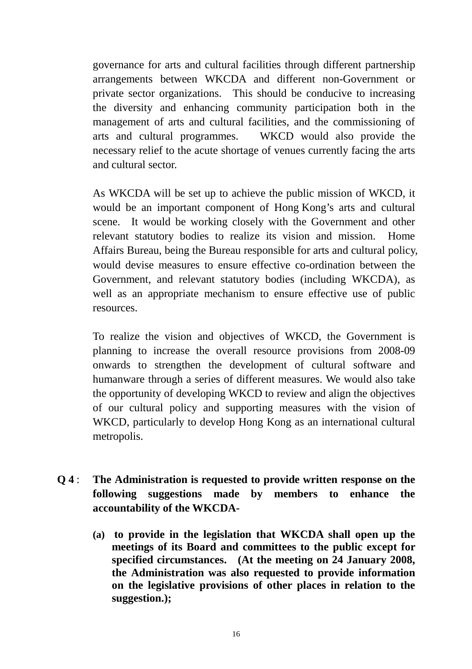governance for arts and cultural facilities through different partnership arrangements between WKCDA and different non-Government or private sector organizations. This should be conducive to increasing the diversity and enhancing community participation both in the management of arts and cultural facilities, and the commissioning of arts and cultural programmes. WKCD would also provide the necessary relief to the acute shortage of venues currently facing the arts and cultural sector.

 As WKCDA will be set up to achieve the public mission of WKCD, it would be an important component of Hong Kong's arts and cultural scene. It would be working closely with the Government and other relevant statutory bodies to realize its vision and mission. Home Affairs Bureau, being the Bureau responsible for arts and cultural policy, would devise measures to ensure effective co-ordination between the Government, and relevant statutory bodies (including WKCDA), as well as an appropriate mechanism to ensure effective use of public resources.

 To realize the vision and objectives of WKCD, the Government is planning to increase the overall resource provisions from 2008-09 onwards to strengthen the development of cultural software and humanware through a series of different measures. We would also take the opportunity of developing WKCD to review and align the objectives of our cultural policy and supporting measures with the vision of WKCD, particularly to develop Hong Kong as an international cultural metropolis.

- **Q 4** : **The Administration is requested to provide written response on the following suggestions made by members to enhance the accountability of the WKCDA-** 
	- **(a) to provide in the legislation that WKCDA shall open up the meetings of its Board and committees to the public except for specified circumstances. (At the meeting on 24 January 2008, the Administration was also requested to provide information on the legislative provisions of other places in relation to the suggestion.);**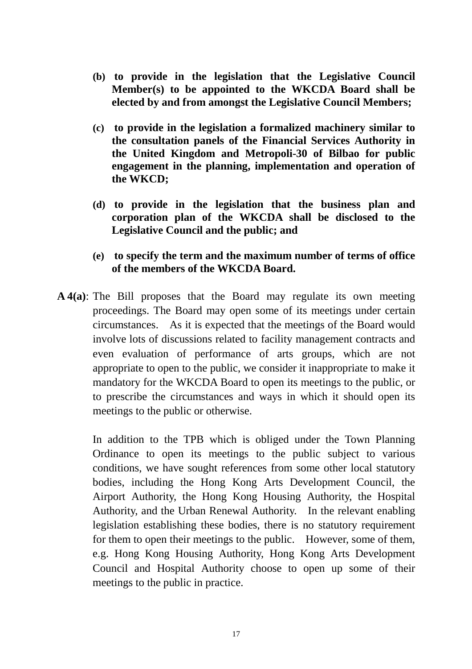- **(b) to provide in the legislation that the Legislative Council Member(s) to be appointed to the WKCDA Board shall be elected by and from amongst the Legislative Council Members;**
- **(c) to provide in the legislation a formalized machinery similar to the consultation panels of the Financial Services Authority in the United Kingdom and Metropoli-30 of Bilbao for public engagement in the planning, implementation and operation of the WKCD;**
- **(d) to provide in the legislation that the business plan and corporation plan of the WKCDA shall be disclosed to the Legislative Council and the public; and**
- **(e) to specify the term and the maximum number of terms of office of the members of the WKCDA Board.**
- **A 4(a)**: The Bill proposes that the Board may regulate its own meeting proceedings. The Board may open some of its meetings under certain circumstances. As it is expected that the meetings of the Board would involve lots of discussions related to facility management contracts and even evaluation of performance of arts groups, which are not appropriate to open to the public, we consider it inappropriate to make it mandatory for the WKCDA Board to open its meetings to the public, or to prescribe the circumstances and ways in which it should open its meetings to the public or otherwise.

In addition to the TPB which is obliged under the Town Planning Ordinance to open its meetings to the public subject to various conditions, we have sought references from some other local statutory bodies, including the Hong Kong Arts Development Council, the Airport Authority, the Hong Kong Housing Authority, the Hospital Authority, and the Urban Renewal Authority. In the relevant enabling legislation establishing these bodies, there is no statutory requirement for them to open their meetings to the public. However, some of them, e.g. Hong Kong Housing Authority, Hong Kong Arts Development Council and Hospital Authority choose to open up some of their meetings to the public in practice.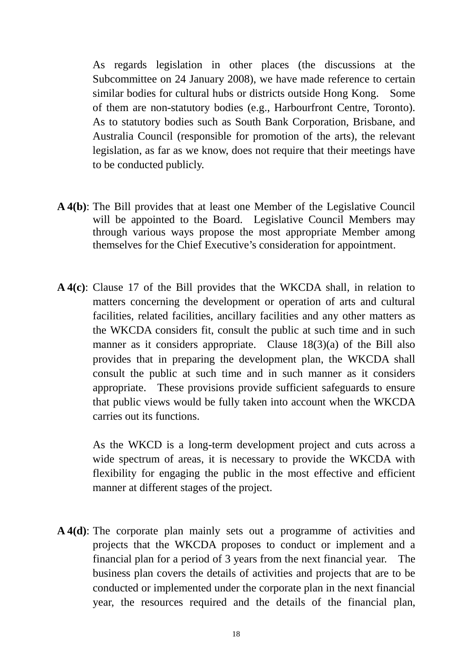As regards legislation in other places (the discussions at the Subcommittee on 24 January 2008), we have made reference to certain similar bodies for cultural hubs or districts outside Hong Kong. Some of them are non-statutory bodies (e.g., Harbourfront Centre, Toronto). As to statutory bodies such as South Bank Corporation, Brisbane, and Australia Council (responsible for promotion of the arts), the relevant legislation, as far as we know, does not require that their meetings have to be conducted publicly.

- **A 4(b)**: The Bill provides that at least one Member of the Legislative Council will be appointed to the Board. Legislative Council Members may through various ways propose the most appropriate Member among themselves for the Chief Executive's consideration for appointment.
- **A 4(c)**: Clause 17 of the Bill provides that the WKCDA shall, in relation to matters concerning the development or operation of arts and cultural facilities, related facilities, ancillary facilities and any other matters as the WKCDA considers fit, consult the public at such time and in such manner as it considers appropriate. Clause 18(3)(a) of the Bill also provides that in preparing the development plan, the WKCDA shall consult the public at such time and in such manner as it considers appropriate. These provisions provide sufficient safeguards to ensure that public views would be fully taken into account when the WKCDA carries out its functions.

As the WKCD is a long-term development project and cuts across a wide spectrum of areas, it is necessary to provide the WKCDA with flexibility for engaging the public in the most effective and efficient manner at different stages of the project.

**A 4(d)**: The corporate plan mainly sets out a programme of activities and projects that the WKCDA proposes to conduct or implement and a financial plan for a period of 3 years from the next financial year. The business plan covers the details of activities and projects that are to be conducted or implemented under the corporate plan in the next financial year, the resources required and the details of the financial plan,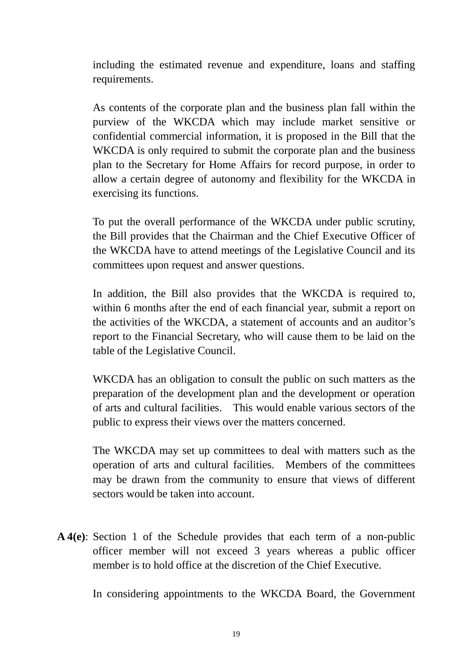including the estimated revenue and expenditure, loans and staffing requirements.

As contents of the corporate plan and the business plan fall within the purview of the WKCDA which may include market sensitive or confidential commercial information, it is proposed in the Bill that the WKCDA is only required to submit the corporate plan and the business plan to the Secretary for Home Affairs for record purpose, in order to allow a certain degree of autonomy and flexibility for the WKCDA in exercising its functions.

To put the overall performance of the WKCDA under public scrutiny, the Bill provides that the Chairman and the Chief Executive Officer of the WKCDA have to attend meetings of the Legislative Council and its committees upon request and answer questions.

In addition, the Bill also provides that the WKCDA is required to, within 6 months after the end of each financial year, submit a report on the activities of the WKCDA, a statement of accounts and an auditor's report to the Financial Secretary, who will cause them to be laid on the table of the Legislative Council.

WKCDA has an obligation to consult the public on such matters as the preparation of the development plan and the development or operation of arts and cultural facilities. This would enable various sectors of the public to express their views over the matters concerned.

The WKCDA may set up committees to deal with matters such as the operation of arts and cultural facilities. Members of the committees may be drawn from the community to ensure that views of different sectors would be taken into account.

**A 4(e)**: Section 1 of the Schedule provides that each term of a non-public officer member will not exceed 3 years whereas a public officer member is to hold office at the discretion of the Chief Executive.

In considering appointments to the WKCDA Board, the Government